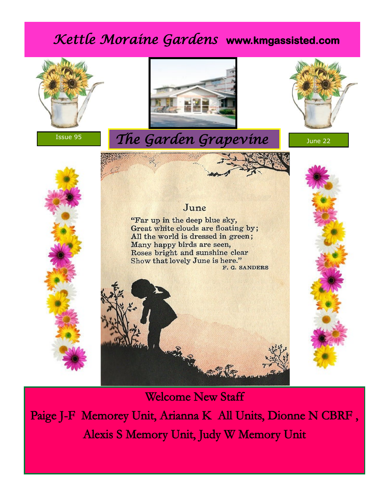# *Kettle Moraine Gardens* **www.kmgassisted.com**



Paige J-F Memorey Unit, Arianna K All Units, Dionne N CBRF , Alexis S Memory Unit, Judy W Memory Unit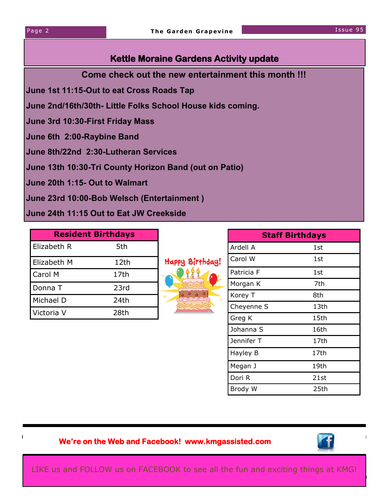#### **Kettle Moraine Gardens Activity update**

**Come check out the new entertainment this month !!!**

**June 1st 11:15-Out to eat Cross Roads Tap**

**June 2nd/16th/30th- Little Folks School House kids coming.** 

**June 3rd 10:30-First Friday Mass**

**June 6th 2:00-Raybine Band** 

**June 8th/22nd 2:30-Lutheran Services** 

**June 13th 10:30-Tri County Horizon Band (out on Patio)**

**June 20th 1:15- Out to Walmart**

**June 23rd 10:00-Bob Welsch (Entertainment )** 

**June 24th 11:15 Out to Eat JW Creekside** 

| <b>Resident Birthdays</b> |      |
|---------------------------|------|
| Elizabeth R               | 5th  |
| Elizabeth M               | 12th |
| Carol M                   | 17th |
| Donna T                   | 23rd |
| Michael D                 | 24th |
| Victoria V                | 28th |



| <b>Staff Birthdays</b> |      |
|------------------------|------|
| Ardell A               | 1st  |
| Carol W                | 1st  |
| Patricia F             | 1st  |
| Morgan K               | 7th  |
| Korey T                | 8th  |
| Cheyenne S             | 13th |
| Greg K                 | 15th |
| Johanna S              | 16th |
| Jennifer T             | 17th |
| Hayley B               | 17th |
| Megan J                | 19th |
| Dori R                 | 21st |
| Brody W                | 25th |

#### **We're on the Web and Facebook! www.kmgassisted.com**



LIKE us and FOLLOW us on FACEBOOK to see all the fun and exciting things at KMG!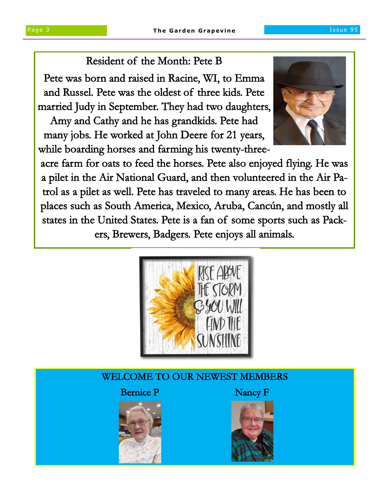### Resident of the Month: Pete B

Pete was born and raised in Racine, WI, to Emma and Russel. Pete was the oldest of three kids. Pete married Judy in September. They had two daughters,

Amy and Cathy and he has grandkids. Pete had many jobs. He worked at John Deere for 21 years, while boarding horses and farming his twenty-three-



acre farm for oats to feed the horses. Pete also enjoyed flying. He was a pilet in the Air National Guard, and then volunteered in the Air Patrol as a pilet as well. Pete has traveled to many areas. He has been to places such as South America, Mexico, Aruba, Cancún, and mostly all states in the United States. Pete is a fan of some sports such as Packers, Brewers, Badgers. Pete enjoys all animals.



#### WELCOME TO OUR NEWEST MEMBERS

#### Bernice P Nancy F